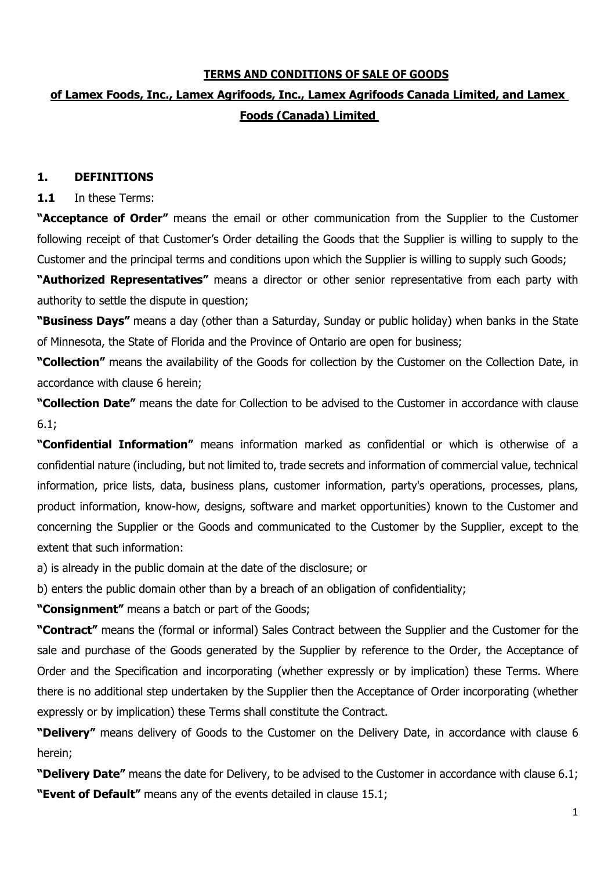# **TERMS AND CONDITIONS OF SALE OF GOODS**

# **of Lamex Foods, Inc., Lamex Agrifoods, Inc., Lamex Agrifoods Canada Limited, and Lamex Foods (Canada) Limited**

# **1. DEFINITIONS**

# **1.1** In these Terms:

**"Acceptance of Order"** means the email or other communication from the Supplier to the Customer following receipt of that Customer's Order detailing the Goods that the Supplier is willing to supply to the Customer and the principal terms and conditions upon which the Supplier is willing to supply such Goods;

**"Authorized Representatives"** means a director or other senior representative from each party with authority to settle the dispute in question;

**"Business Days"** means a day (other than a Saturday, Sunday or public holiday) when banks in the State of Minnesota, the State of Florida and the Province of Ontario are open for business;

**"Collection"** means the availability of the Goods for collection by the Customer on the Collection Date, in accordance with clause 6 herein;

**"Collection Date"** means the date for Collection to be advised to the Customer in accordance with clause 6.1;

**"Confidential Information"** means information marked as confidential or which is otherwise of a confidential nature (including, but not limited to, trade secrets and information of commercial value, technical information, price lists, data, business plans, customer information, party's operations, processes, plans, product information, know-how, designs, software and market opportunities) known to the Customer and concerning the Supplier or the Goods and communicated to the Customer by the Supplier, except to the extent that such information:

a) is already in the public domain at the date of the disclosure; or

b) enters the public domain other than by a breach of an obligation of confidentiality;

**"Consignment"** means a batch or part of the Goods;

**"Contract"** means the (formal or informal) Sales Contract between the Supplier and the Customer for the sale and purchase of the Goods generated by the Supplier by reference to the Order, the Acceptance of Order and the Specification and incorporating (whether expressly or by implication) these Terms. Where there is no additional step undertaken by the Supplier then the Acceptance of Order incorporating (whether expressly or by implication) these Terms shall constitute the Contract.

**"Delivery"** means delivery of Goods to the Customer on the Delivery Date, in accordance with clause 6 herein;

**"Delivery Date"** means the date for Delivery, to be advised to the Customer in accordance with clause 6.1; **"Event of Default"** means any of the events detailed in clause 15.1;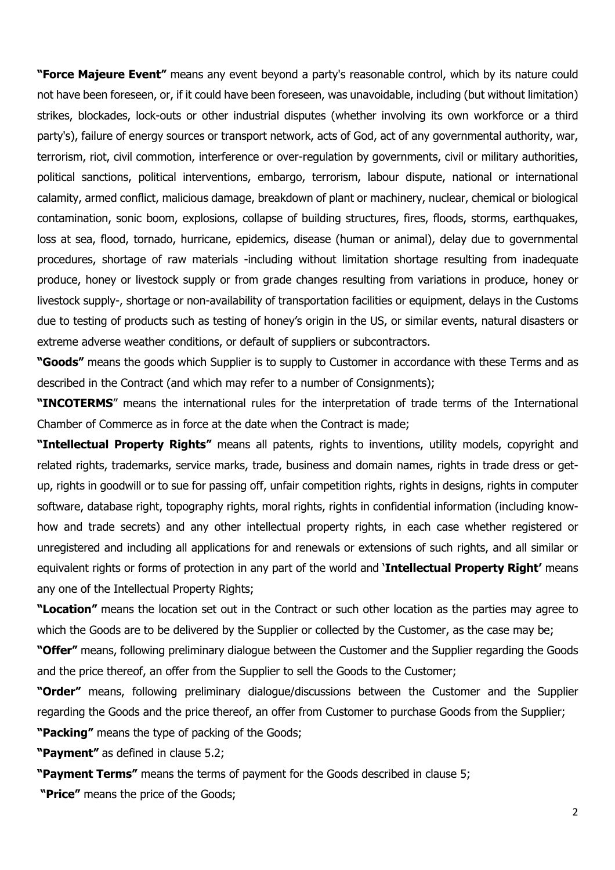**"Force Majeure Event"** means any event beyond a party's reasonable control, which by its nature could not have been foreseen, or, if it could have been foreseen, was unavoidable, including (but without limitation) strikes, blockades, lock-outs or other industrial disputes (whether involving its own workforce or a third party's), failure of energy sources or transport network, acts of God, act of any governmental authority, war, terrorism, riot, civil commotion, interference or over-regulation by governments, civil or military authorities, political sanctions, political interventions, embargo, terrorism, labour dispute, national or international calamity, armed conflict, malicious damage, breakdown of plant or machinery, nuclear, chemical or biological contamination, sonic boom, explosions, collapse of building structures, fires, floods, storms, earthquakes, loss at sea, flood, tornado, hurricane, epidemics, disease (human or animal), delay due to governmental procedures, shortage of raw materials -including without limitation shortage resulting from inadequate produce, honey or livestock supply or from grade changes resulting from variations in produce, honey or livestock supply-, shortage or non-availability of transportation facilities or equipment, delays in the Customs due to testing of products such as testing of honey's origin in the US, or similar events, natural disasters or extreme adverse weather conditions, or default of suppliers or subcontractors.

**"Goods"** means the goods which Supplier is to supply to Customer in accordance with these Terms and as described in the Contract (and which may refer to a number of Consignments);

**"INCOTERMS**" means the international rules for the interpretation of trade terms of the International Chamber of Commerce as in force at the date when the Contract is made;

**"Intellectual Property Rights"** means all patents, rights to inventions, utility models, copyright and related rights, trademarks, service marks, trade, business and domain names, rights in trade dress or getup, rights in goodwill or to sue for passing off, unfair competition rights, rights in designs, rights in computer software, database right, topography rights, moral rights, rights in confidential information (including knowhow and trade secrets) and any other intellectual property rights, in each case whether registered or unregistered and including all applications for and renewals or extensions of such rights, and all similar or equivalent rights or forms of protection in any part of the world and '**Intellectual Property Right'** means any one of the Intellectual Property Rights;

**"Location"** means the location set out in the Contract or such other location as the parties may agree to which the Goods are to be delivered by the Supplier or collected by the Customer, as the case may be;

**"Offer"** means, following preliminary dialogue between the Customer and the Supplier regarding the Goods and the price thereof, an offer from the Supplier to sell the Goods to the Customer;

**"Order"** means, following preliminary dialogue/discussions between the Customer and the Supplier regarding the Goods and the price thereof, an offer from Customer to purchase Goods from the Supplier;

**"Packing"** means the type of packing of the Goods;

**"Payment"** as defined in clause 5.2;

**"Payment Terms"** means the terms of payment for the Goods described in clause 5; **"Price"** means the price of the Goods;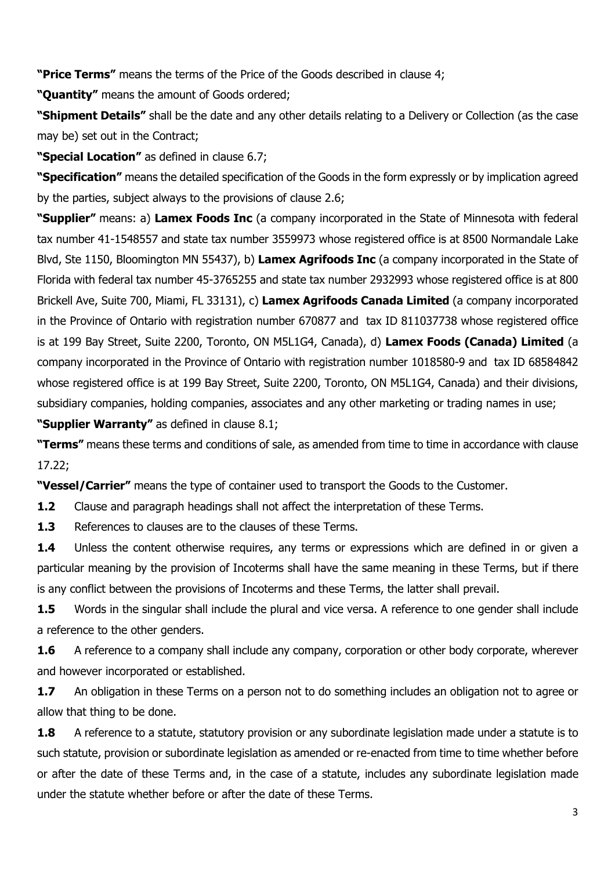**"Price Terms"** means the terms of the Price of the Goods described in clause 4;

**"Quantity"** means the amount of Goods ordered;

**"Shipment Details"** shall be the date and any other details relating to a Delivery or Collection (as the case may be) set out in the Contract;

**"Special Location"** as defined in clause 6.7;

**"Specification"** means the detailed specification of the Goods in the form expressly or by implication agreed by the parties, subject always to the provisions of clause 2.6;

**"Supplier"** means: a) **Lamex Foods Inc** (a company incorporated in the State of Minnesota with federal tax number 41-1548557 and state tax number 3559973 whose registered office is at 8500 Normandale Lake Blvd, Ste 1150, Bloomington MN 55437), b) **Lamex Agrifoods Inc** (a company incorporated in the State of Florida with federal tax number 45-3765255 and state tax number 2932993 whose registered office is at 800 Brickell Ave, Suite 700, Miami, FL 33131), c) **Lamex Agrifoods Canada Limited** (a company incorporated in the Province of Ontario with registration number 670877 and tax ID 811037738 whose registered office is at 199 Bay Street, Suite 2200, Toronto, ON M5L1G4, Canada), d) **Lamex Foods (Canada) Limited** (a company incorporated in the Province of Ontario with registration number 1018580-9 and tax ID 68584842 whose registered office is at 199 Bay Street, Suite 2200, Toronto, ON M5L1G4, Canada) and their divisions, subsidiary companies, holding companies, associates and any other marketing or trading names in use;

**"Supplier Warranty"** as defined in clause 8.1;

**"Terms"** means these terms and conditions of sale, as amended from time to time in accordance with clause 17.22;

**"Vessel/Carrier"** means the type of container used to transport the Goods to the Customer.

**1.2** Clause and paragraph headings shall not affect the interpretation of these Terms.

**1.3** References to clauses are to the clauses of these Terms.

**1.4** Unless the content otherwise requires, any terms or expressions which are defined in or given a particular meaning by the provision of Incoterms shall have the same meaning in these Terms, but if there is any conflict between the provisions of Incoterms and these Terms, the latter shall prevail.

**1.5** Words in the singular shall include the plural and vice versa. A reference to one gender shall include a reference to the other genders.

**1.6** A reference to a company shall include any company, corporation or other body corporate, wherever and however incorporated or established.

**1.7** An obligation in these Terms on a person not to do something includes an obligation not to agree or allow that thing to be done.

**1.8** A reference to a statute, statutory provision or any subordinate legislation made under a statute is to such statute, provision or subordinate legislation as amended or re-enacted from time to time whether before or after the date of these Terms and, in the case of a statute, includes any subordinate legislation made under the statute whether before or after the date of these Terms.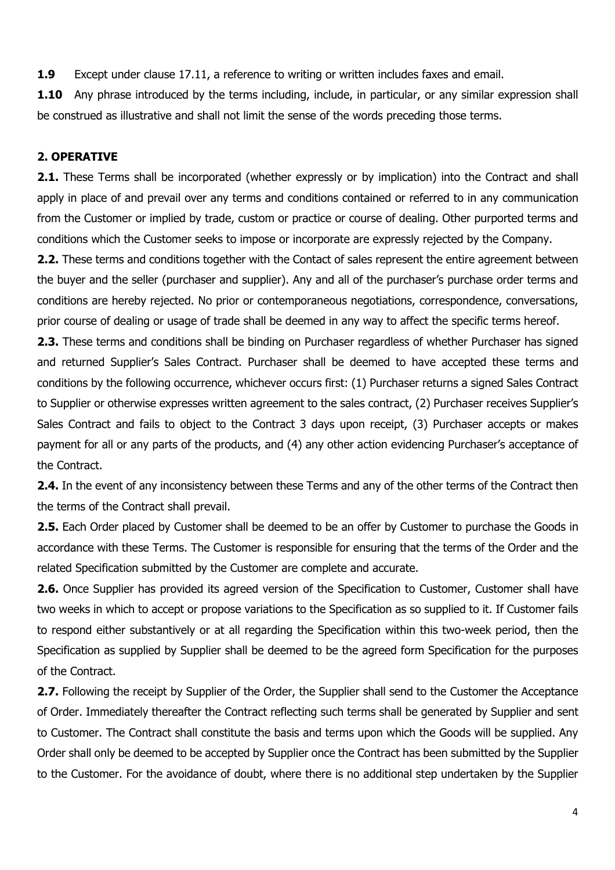**1.9** Except under clause 17.11, a reference to writing or written includes faxes and email.

**1.10** Any phrase introduced by the terms including, include, in particular, or any similar expression shall be construed as illustrative and shall not limit the sense of the words preceding those terms.

# **2. OPERATIVE**

**2.1.** These Terms shall be incorporated (whether expressly or by implication) into the Contract and shall apply in place of and prevail over any terms and conditions contained or referred to in any communication from the Customer or implied by trade, custom or practice or course of dealing. Other purported terms and conditions which the Customer seeks to impose or incorporate are expressly rejected by the Company.

**2.2.** These terms and conditions together with the Contact of sales represent the entire agreement between the buyer and the seller (purchaser and supplier). Any and all of the purchaser's purchase order terms and conditions are hereby rejected. No prior or contemporaneous negotiations, correspondence, conversations, prior course of dealing or usage of trade shall be deemed in any way to affect the specific terms hereof.

**2.3.** These terms and conditions shall be binding on Purchaser regardless of whether Purchaser has signed and returned Supplier's Sales Contract. Purchaser shall be deemed to have accepted these terms and conditions by the following occurrence, whichever occurs first: (1) Purchaser returns a signed Sales Contract to Supplier or otherwise expresses written agreement to the sales contract, (2) Purchaser receives Supplier's Sales Contract and fails to object to the Contract 3 days upon receipt, (3) Purchaser accepts or makes payment for all or any parts of the products, and (4) any other action evidencing Purchaser's acceptance of the Contract.

**2.4.** In the event of any inconsistency between these Terms and any of the other terms of the Contract then the terms of the Contract shall prevail.

**2.5.** Each Order placed by Customer shall be deemed to be an offer by Customer to purchase the Goods in accordance with these Terms. The Customer is responsible for ensuring that the terms of the Order and the related Specification submitted by the Customer are complete and accurate.

**2.6.** Once Supplier has provided its agreed version of the Specification to Customer, Customer shall have two weeks in which to accept or propose variations to the Specification as so supplied to it. If Customer fails to respond either substantively or at all regarding the Specification within this two-week period, then the Specification as supplied by Supplier shall be deemed to be the agreed form Specification for the purposes of the Contract.

**2.7.** Following the receipt by Supplier of the Order, the Supplier shall send to the Customer the Acceptance of Order. Immediately thereafter the Contract reflecting such terms shall be generated by Supplier and sent to Customer. The Contract shall constitute the basis and terms upon which the Goods will be supplied. Any Order shall only be deemed to be accepted by Supplier once the Contract has been submitted by the Supplier to the Customer. For the avoidance of doubt, where there is no additional step undertaken by the Supplier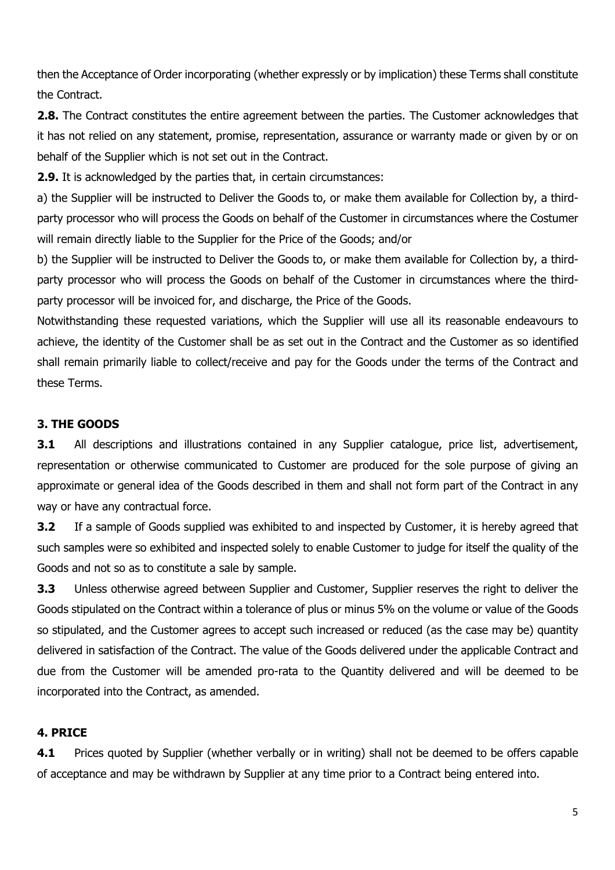then the Acceptance of Order incorporating (whether expressly or by implication) these Terms shall constitute the Contract.

**2.8.** The Contract constitutes the entire agreement between the parties. The Customer acknowledges that it has not relied on any statement, promise, representation, assurance or warranty made or given by or on behalf of the Supplier which is not set out in the Contract.

**2.9.** It is acknowledged by the parties that, in certain circumstances:

a) the Supplier will be instructed to Deliver the Goods to, or make them available for Collection by, a thirdparty processor who will process the Goods on behalf of the Customer in circumstances where the Costumer will remain directly liable to the Supplier for the Price of the Goods; and/or

b) the Supplier will be instructed to Deliver the Goods to, or make them available for Collection by, a thirdparty processor who will process the Goods on behalf of the Customer in circumstances where the thirdparty processor will be invoiced for, and discharge, the Price of the Goods.

Notwithstanding these requested variations, which the Supplier will use all its reasonable endeavours to achieve, the identity of the Customer shall be as set out in the Contract and the Customer as so identified shall remain primarily liable to collect/receive and pay for the Goods under the terms of the Contract and these Terms.

# **3. THE GOODS**

**3.1** All descriptions and illustrations contained in any Supplier catalogue, price list, advertisement, representation or otherwise communicated to Customer are produced for the sole purpose of giving an approximate or general idea of the Goods described in them and shall not form part of the Contract in any way or have any contractual force.

**3.2** If a sample of Goods supplied was exhibited to and inspected by Customer, it is hereby agreed that such samples were so exhibited and inspected solely to enable Customer to judge for itself the quality of the Goods and not so as to constitute a sale by sample.

**3.3** Unless otherwise agreed between Supplier and Customer, Supplier reserves the right to deliver the Goods stipulated on the Contract within a tolerance of plus or minus 5% on the volume or value of the Goods so stipulated, and the Customer agrees to accept such increased or reduced (as the case may be) quantity delivered in satisfaction of the Contract. The value of the Goods delivered under the applicable Contract and due from the Customer will be amended pro-rata to the Quantity delivered and will be deemed to be incorporated into the Contract, as amended.

# **4. PRICE**

**4.1** Prices quoted by Supplier (whether verbally or in writing) shall not be deemed to be offers capable of acceptance and may be withdrawn by Supplier at any time prior to a Contract being entered into.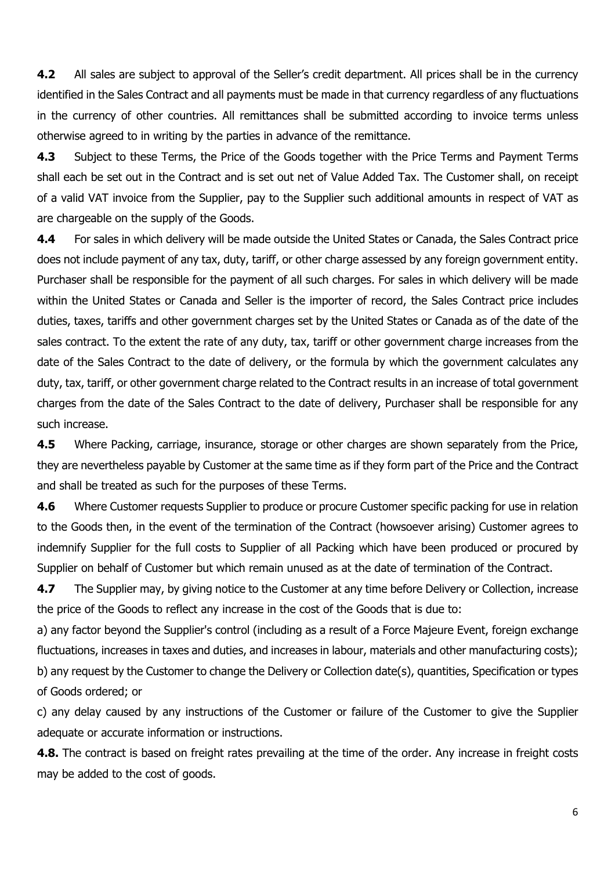**4.2** All sales are subject to approval of the Seller's credit department. All prices shall be in the currency identified in the Sales Contract and all payments must be made in that currency regardless of any fluctuations in the currency of other countries. All remittances shall be submitted according to invoice terms unless otherwise agreed to in writing by the parties in advance of the remittance.

**4.3** Subject to these Terms, the Price of the Goods together with the Price Terms and Payment Terms shall each be set out in the Contract and is set out net of Value Added Tax. The Customer shall, on receipt of a valid VAT invoice from the Supplier, pay to the Supplier such additional amounts in respect of VAT as are chargeable on the supply of the Goods.

**4.4** For sales in which delivery will be made outside the United States or Canada, the Sales Contract price does not include payment of any tax, duty, tariff, or other charge assessed by any foreign government entity. Purchaser shall be responsible for the payment of all such charges. For sales in which delivery will be made within the United States or Canada and Seller is the importer of record, the Sales Contract price includes duties, taxes, tariffs and other government charges set by the United States or Canada as of the date of the sales contract. To the extent the rate of any duty, tax, tariff or other government charge increases from the date of the Sales Contract to the date of delivery, or the formula by which the government calculates any duty, tax, tariff, or other government charge related to the Contract results in an increase of total government charges from the date of the Sales Contract to the date of delivery, Purchaser shall be responsible for any such increase.

**4.5** Where Packing, carriage, insurance, storage or other charges are shown separately from the Price, they are nevertheless payable by Customer at the same time as if they form part of the Price and the Contract and shall be treated as such for the purposes of these Terms.

**4.6** Where Customer requests Supplier to produce or procure Customer specific packing for use in relation to the Goods then, in the event of the termination of the Contract (howsoever arising) Customer agrees to indemnify Supplier for the full costs to Supplier of all Packing which have been produced or procured by Supplier on behalf of Customer but which remain unused as at the date of termination of the Contract.

**4.7** The Supplier may, by giving notice to the Customer at any time before Delivery or Collection, increase the price of the Goods to reflect any increase in the cost of the Goods that is due to:

a) any factor beyond the Supplier's control (including as a result of a Force Majeure Event, foreign exchange fluctuations, increases in taxes and duties, and increases in labour, materials and other manufacturing costs); b) any request by the Customer to change the Delivery or Collection date(s), quantities, Specification or types of Goods ordered; or

c) any delay caused by any instructions of the Customer or failure of the Customer to give the Supplier adequate or accurate information or instructions.

**4.8.** The contract is based on freight rates prevailing at the time of the order. Any increase in freight costs may be added to the cost of goods.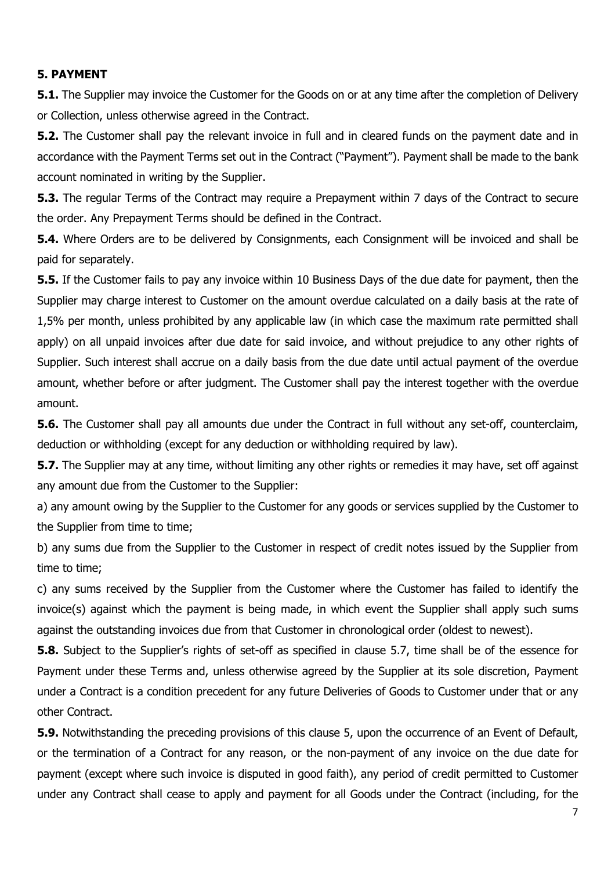# **5. PAYMENT**

**5.1.** The Supplier may invoice the Customer for the Goods on or at any time after the completion of Delivery or Collection, unless otherwise agreed in the Contract.

**5.2.** The Customer shall pay the relevant invoice in full and in cleared funds on the payment date and in accordance with the Payment Terms set out in the Contract ("Payment"). Payment shall be made to the bank account nominated in writing by the Supplier.

**5.3.** The regular Terms of the Contract may require a Prepayment within 7 days of the Contract to secure the order. Any Prepayment Terms should be defined in the Contract.

**5.4.** Where Orders are to be delivered by Consignments, each Consignment will be invoiced and shall be paid for separately.

**5.5.** If the Customer fails to pay any invoice within 10 Business Days of the due date for payment, then the Supplier may charge interest to Customer on the amount overdue calculated on a daily basis at the rate of 1,5% per month, unless prohibited by any applicable law (in which case the maximum rate permitted shall apply) on all unpaid invoices after due date for said invoice, and without prejudice to any other rights of Supplier. Such interest shall accrue on a daily basis from the due date until actual payment of the overdue amount, whether before or after judgment. The Customer shall pay the interest together with the overdue amount.

**5.6.** The Customer shall pay all amounts due under the Contract in full without any set-off, counterclaim, deduction or withholding (except for any deduction or withholding required by law).

**5.7.** The Supplier may at any time, without limiting any other rights or remedies it may have, set off against any amount due from the Customer to the Supplier:

a) any amount owing by the Supplier to the Customer for any goods or services supplied by the Customer to the Supplier from time to time;

b) any sums due from the Supplier to the Customer in respect of credit notes issued by the Supplier from time to time;

c) any sums received by the Supplier from the Customer where the Customer has failed to identify the invoice(s) against which the payment is being made, in which event the Supplier shall apply such sums against the outstanding invoices due from that Customer in chronological order (oldest to newest).

**5.8.** Subject to the Supplier's rights of set-off as specified in clause 5.7, time shall be of the essence for Payment under these Terms and, unless otherwise agreed by the Supplier at its sole discretion, Payment under a Contract is a condition precedent for any future Deliveries of Goods to Customer under that or any other Contract.

**5.9.** Notwithstanding the preceding provisions of this clause 5, upon the occurrence of an Event of Default, or the termination of a Contract for any reason, or the non-payment of any invoice on the due date for payment (except where such invoice is disputed in good faith), any period of credit permitted to Customer under any Contract shall cease to apply and payment for all Goods under the Contract (including, for the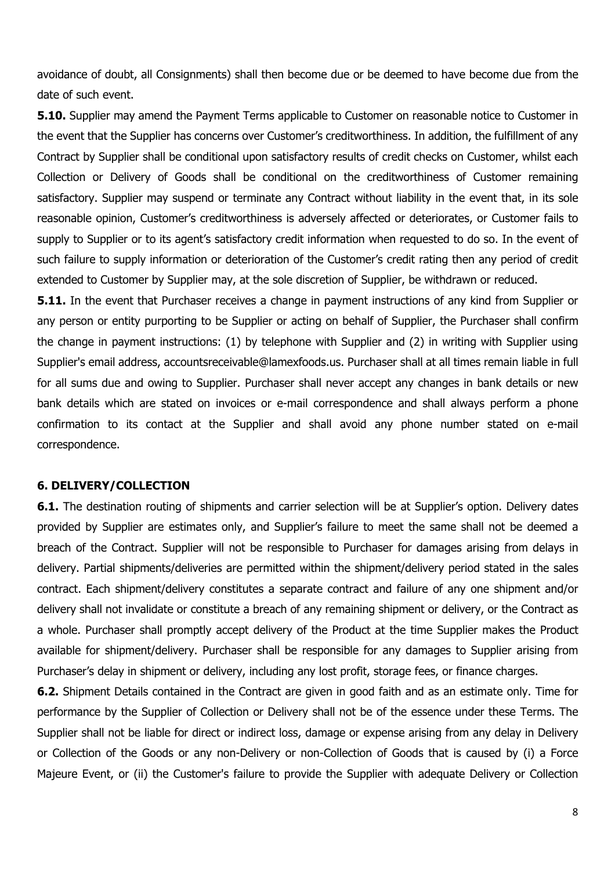avoidance of doubt, all Consignments) shall then become due or be deemed to have become due from the date of such event.

**5.10.** Supplier may amend the Payment Terms applicable to Customer on reasonable notice to Customer in the event that the Supplier has concerns over Customer's creditworthiness. In addition, the fulfillment of any Contract by Supplier shall be conditional upon satisfactory results of credit checks on Customer, whilst each Collection or Delivery of Goods shall be conditional on the creditworthiness of Customer remaining satisfactory. Supplier may suspend or terminate any Contract without liability in the event that, in its sole reasonable opinion, Customer's creditworthiness is adversely affected or deteriorates, or Customer fails to supply to Supplier or to its agent's satisfactory credit information when requested to do so. In the event of such failure to supply information or deterioration of the Customer's credit rating then any period of credit extended to Customer by Supplier may, at the sole discretion of Supplier, be withdrawn or reduced.

**5.11.** In the event that Purchaser receives a change in payment instructions of any kind from Supplier or any person or entity purporting to be Supplier or acting on behalf of Supplier, the Purchaser shall confirm the change in payment instructions: (1) by telephone with Supplier and (2) in writing with Supplier using Supplier's email address, accountsreceivable@lamexfoods.us. Purchaser shall at all times remain liable in full for all sums due and owing to Supplier. Purchaser shall never accept any changes in bank details or new bank details which are stated on invoices or e-mail correspondence and shall always perform a phone confirmation to its contact at the Supplier and shall avoid any phone number stated on e-mail correspondence.

#### **6. DELIVERY/COLLECTION**

**6.1.** The destination routing of shipments and carrier selection will be at Supplier's option. Delivery dates provided by Supplier are estimates only, and Supplier's failure to meet the same shall not be deemed a breach of the Contract. Supplier will not be responsible to Purchaser for damages arising from delays in delivery. Partial shipments/deliveries are permitted within the shipment/delivery period stated in the sales contract. Each shipment/delivery constitutes a separate contract and failure of any one shipment and/or delivery shall not invalidate or constitute a breach of any remaining shipment or delivery, or the Contract as a whole. Purchaser shall promptly accept delivery of the Product at the time Supplier makes the Product available for shipment/delivery. Purchaser shall be responsible for any damages to Supplier arising from Purchaser's delay in shipment or delivery, including any lost profit, storage fees, or finance charges.

**6.2.** Shipment Details contained in the Contract are given in good faith and as an estimate only. Time for performance by the Supplier of Collection or Delivery shall not be of the essence under these Terms. The Supplier shall not be liable for direct or indirect loss, damage or expense arising from any delay in Delivery or Collection of the Goods or any non-Delivery or non-Collection of Goods that is caused by (i) a Force Majeure Event, or (ii) the Customer's failure to provide the Supplier with adequate Delivery or Collection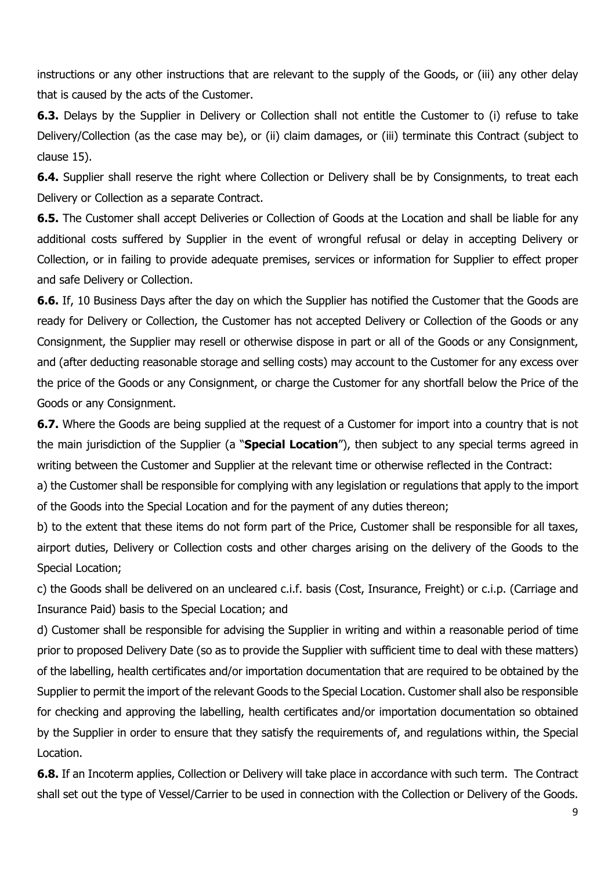instructions or any other instructions that are relevant to the supply of the Goods, or (iii) any other delay that is caused by the acts of the Customer.

**6.3.** Delays by the Supplier in Delivery or Collection shall not entitle the Customer to (i) refuse to take Delivery/Collection (as the case may be), or (ii) claim damages, or (iii) terminate this Contract (subject to clause 15).

**6.4.** Supplier shall reserve the right where Collection or Delivery shall be by Consignments, to treat each Delivery or Collection as a separate Contract.

**6.5.** The Customer shall accept Deliveries or Collection of Goods at the Location and shall be liable for any additional costs suffered by Supplier in the event of wrongful refusal or delay in accepting Delivery or Collection, or in failing to provide adequate premises, services or information for Supplier to effect proper and safe Delivery or Collection.

**6.6.** If, 10 Business Days after the day on which the Supplier has notified the Customer that the Goods are ready for Delivery or Collection, the Customer has not accepted Delivery or Collection of the Goods or any Consignment, the Supplier may resell or otherwise dispose in part or all of the Goods or any Consignment, and (after deducting reasonable storage and selling costs) may account to the Customer for any excess over the price of the Goods or any Consignment, or charge the Customer for any shortfall below the Price of the Goods or any Consignment.

**6.7.** Where the Goods are being supplied at the request of a Customer for import into a country that is not the main jurisdiction of the Supplier (a "**Special Location**"), then subject to any special terms agreed in writing between the Customer and Supplier at the relevant time or otherwise reflected in the Contract:

a) the Customer shall be responsible for complying with any legislation or regulations that apply to the import of the Goods into the Special Location and for the payment of any duties thereon;

b) to the extent that these items do not form part of the Price, Customer shall be responsible for all taxes, airport duties, Delivery or Collection costs and other charges arising on the delivery of the Goods to the Special Location;

c) the Goods shall be delivered on an uncleared c.i.f. basis (Cost, Insurance, Freight) or c.i.p. (Carriage and Insurance Paid) basis to the Special Location; and

d) Customer shall be responsible for advising the Supplier in writing and within a reasonable period of time prior to proposed Delivery Date (so as to provide the Supplier with sufficient time to deal with these matters) of the labelling, health certificates and/or importation documentation that are required to be obtained by the Supplier to permit the import of the relevant Goods to the Special Location. Customer shall also be responsible for checking and approving the labelling, health certificates and/or importation documentation so obtained by the Supplier in order to ensure that they satisfy the requirements of, and regulations within, the Special Location.

**6.8.** If an Incoterm applies, Collection or Delivery will take place in accordance with such term. The Contract shall set out the type of Vessel/Carrier to be used in connection with the Collection or Delivery of the Goods.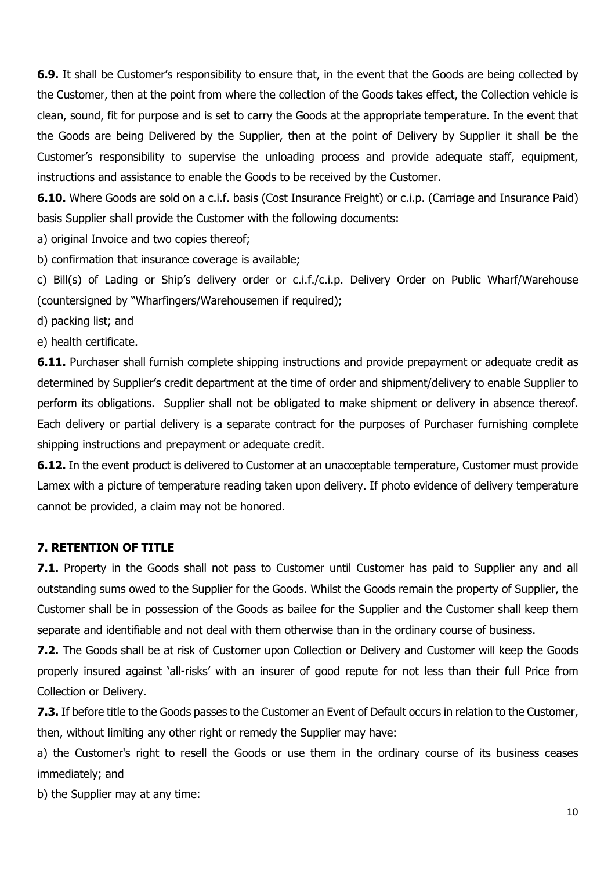**6.9.** It shall be Customer's responsibility to ensure that, in the event that the Goods are being collected by the Customer, then at the point from where the collection of the Goods takes effect, the Collection vehicle is clean, sound, fit for purpose and is set to carry the Goods at the appropriate temperature. In the event that the Goods are being Delivered by the Supplier, then at the point of Delivery by Supplier it shall be the Customer's responsibility to supervise the unloading process and provide adequate staff, equipment, instructions and assistance to enable the Goods to be received by the Customer.

**6.10.** Where Goods are sold on a c.i.f. basis (Cost Insurance Freight) or c.i.p. (Carriage and Insurance Paid) basis Supplier shall provide the Customer with the following documents:

a) original Invoice and two copies thereof;

b) confirmation that insurance coverage is available;

c) Bill(s) of Lading or Ship's delivery order or c.i.f./c.i.p. Delivery Order on Public Wharf/Warehouse (countersigned by "Wharfingers/Warehousemen if required);

d) packing list; and

e) health certificate.

**6.11.** Purchaser shall furnish complete shipping instructions and provide prepayment or adequate credit as determined by Supplier's credit department at the time of order and shipment/delivery to enable Supplier to perform its obligations. Supplier shall not be obligated to make shipment or delivery in absence thereof. Each delivery or partial delivery is a separate contract for the purposes of Purchaser furnishing complete shipping instructions and prepayment or adequate credit.

**6.12.** In the event product is delivered to Customer at an unacceptable temperature, Customer must provide Lamex with a picture of temperature reading taken upon delivery. If photo evidence of delivery temperature cannot be provided, a claim may not be honored.

### **7. RETENTION OF TITLE**

**7.1.** Property in the Goods shall not pass to Customer until Customer has paid to Supplier any and all outstanding sums owed to the Supplier for the Goods. Whilst the Goods remain the property of Supplier, the Customer shall be in possession of the Goods as bailee for the Supplier and the Customer shall keep them separate and identifiable and not deal with them otherwise than in the ordinary course of business.

**7.2.** The Goods shall be at risk of Customer upon Collection or Delivery and Customer will keep the Goods properly insured against 'all-risks' with an insurer of good repute for not less than their full Price from Collection or Delivery.

**7.3.** If before title to the Goods passes to the Customer an Event of Default occurs in relation to the Customer, then, without limiting any other right or remedy the Supplier may have:

a) the Customer's right to resell the Goods or use them in the ordinary course of its business ceases immediately; and

b) the Supplier may at any time: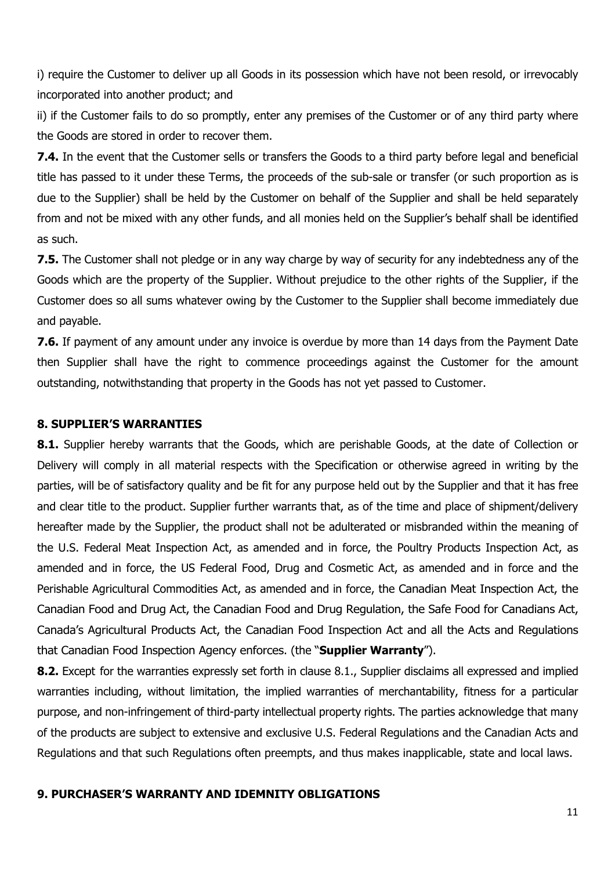i) require the Customer to deliver up all Goods in its possession which have not been resold, or irrevocably incorporated into another product; and

ii) if the Customer fails to do so promptly, enter any premises of the Customer or of any third party where the Goods are stored in order to recover them.

**7.4.** In the event that the Customer sells or transfers the Goods to a third party before legal and beneficial title has passed to it under these Terms, the proceeds of the sub-sale or transfer (or such proportion as is due to the Supplier) shall be held by the Customer on behalf of the Supplier and shall be held separately from and not be mixed with any other funds, and all monies held on the Supplier's behalf shall be identified as such.

**7.5.** The Customer shall not pledge or in any way charge by way of security for any indebtedness any of the Goods which are the property of the Supplier. Without prejudice to the other rights of the Supplier, if the Customer does so all sums whatever owing by the Customer to the Supplier shall become immediately due and payable.

**7.6.** If payment of any amount under any invoice is overdue by more than 14 days from the Payment Date then Supplier shall have the right to commence proceedings against the Customer for the amount outstanding, notwithstanding that property in the Goods has not yet passed to Customer.

### **8. SUPPLIER'S WARRANTIES**

**8.1.** Supplier hereby warrants that the Goods, which are perishable Goods, at the date of Collection or Delivery will comply in all material respects with the Specification or otherwise agreed in writing by the parties, will be of satisfactory quality and be fit for any purpose held out by the Supplier and that it has free and clear title to the product. Supplier further warrants that, as of the time and place of shipment/delivery hereafter made by the Supplier, the product shall not be adulterated or misbranded within the meaning of the U.S. Federal Meat Inspection Act, as amended and in force, the Poultry Products Inspection Act, as amended and in force, the US Federal Food, Drug and Cosmetic Act, as amended and in force and the Perishable Agricultural Commodities Act, as amended and in force, the Canadian Meat Inspection Act, the Canadian Food and Drug Act, the Canadian Food and Drug Regulation, the Safe Food for Canadians Act, Canada's Agricultural Products Act, the Canadian Food Inspection Act and all the Acts and Regulations that Canadian Food Inspection Agency enforces. (the "**Supplier Warranty**").

**8.2.** Except for the warranties expressly set forth in clause 8.1., Supplier disclaims all expressed and implied warranties including, without limitation, the implied warranties of merchantability, fitness for a particular purpose, and non-infringement of third-party intellectual property rights. The parties acknowledge that many of the products are subject to extensive and exclusive U.S. Federal Regulations and the Canadian Acts and Regulations and that such Regulations often preempts, and thus makes inapplicable, state and local laws.

#### **9. PURCHASER'S WARRANTY AND IDEMNITY OBLIGATIONS**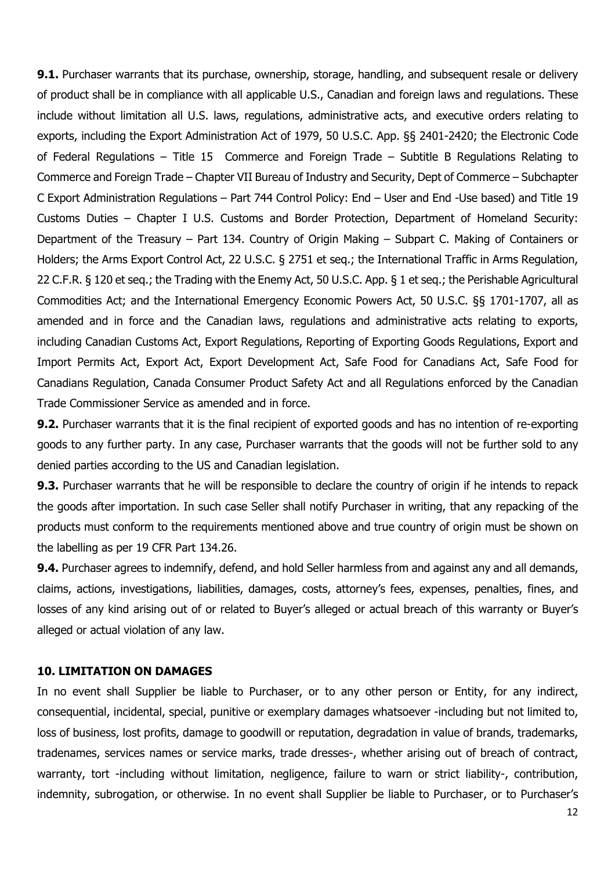**9.1.** Purchaser warrants that its purchase, ownership, storage, handling, and subsequent resale or delivery of product shall be in compliance with all applicable U.S., Canadian and foreign laws and regulations. These include without limitation all U.S. laws, regulations, administrative acts, and executive orders relating to exports, including the Export Administration Act of 1979, 50 U.S.C. App. §§ 2401-2420; the Electronic Code of Federal Regulations – Title 15 Commerce and Foreign Trade – Subtitle B Regulations Relating to Commerce and Foreign Trade – Chapter VII Bureau of Industry and Security, Dept of Commerce – Subchapter C Export Administration Regulations – Part 744 Control Policy: End – User and End -Use based) and Title 19 Customs Duties – Chapter I U.S. Customs and Border Protection, Department of Homeland Security: Department of the Treasury – Part 134. Country of Origin Making – Subpart C. Making of Containers or Holders; the Arms Export Control Act, 22 U.S.C. § 2751 et seq.; the International Traffic in Arms Regulation, 22 C.F.R. § 120 et seq.; the Trading with the Enemy Act, 50 U.S.C. App. § 1 et seq.; the Perishable Agricultural Commodities Act; and the International Emergency Economic Powers Act, 50 U.S.C. §§ 1701-1707, all as amended and in force and the Canadian laws, regulations and administrative acts relating to exports, including Canadian Customs Act, Export Regulations, Reporting of Exporting Goods Regulations, Export and Import Permits Act, Export Act, Export Development Act, Safe Food for Canadians Act, Safe Food for Canadians Regulation, Canada Consumer Product Safety Act and all Regulations enforced by the Canadian Trade Commissioner Service as amended and in force.

**9.2.** Purchaser warrants that it is the final recipient of exported goods and has no intention of re-exporting goods to any further party. In any case, Purchaser warrants that the goods will not be further sold to any denied parties according to the US and Canadian legislation.

**9.3.** Purchaser warrants that he will be responsible to declare the country of origin if he intends to repack the goods after importation. In such case Seller shall notify Purchaser in writing, that any repacking of the products must conform to the requirements mentioned above and true country of origin must be shown on the labelling as per 19 CFR Part 134.26.

**9.4.** Purchaser agrees to indemnify, defend, and hold Seller harmless from and against any and all demands, claims, actions, investigations, liabilities, damages, costs, attorney's fees, expenses, penalties, fines, and losses of any kind arising out of or related to Buyer's alleged or actual breach of this warranty or Buyer's alleged or actual violation of any law.

#### **10. LIMITATION ON DAMAGES**

In no event shall Supplier be liable to Purchaser, or to any other person or Entity, for any indirect, consequential, incidental, special, punitive or exemplary damages whatsoever -including but not limited to, loss of business, lost profits, damage to goodwill or reputation, degradation in value of brands, trademarks, tradenames, services names or service marks, trade dresses-, whether arising out of breach of contract, warranty, tort -including without limitation, negligence, failure to warn or strict liability-, contribution, indemnity, subrogation, or otherwise. In no event shall Supplier be liable to Purchaser, or to Purchaser's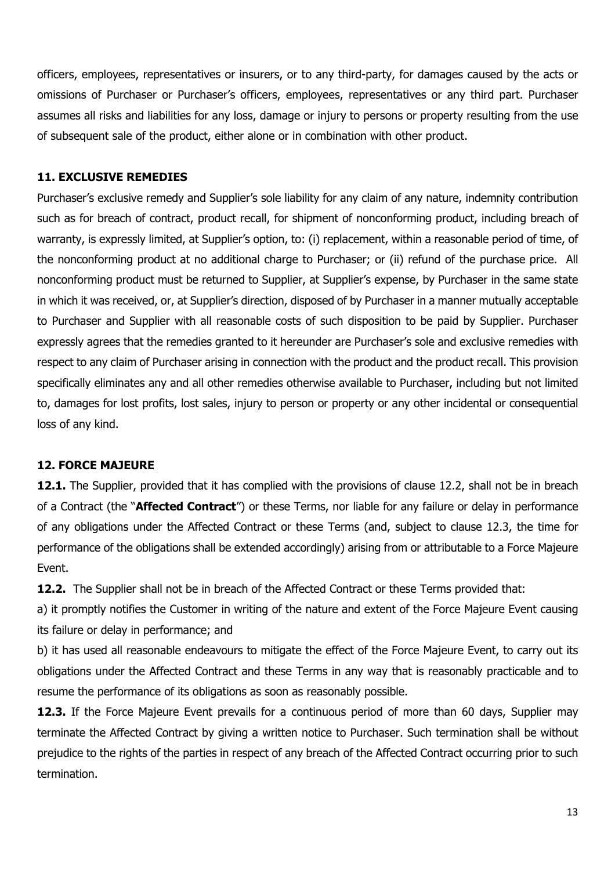officers, employees, representatives or insurers, or to any third-party, for damages caused by the acts or omissions of Purchaser or Purchaser's officers, employees, representatives or any third part. Purchaser assumes all risks and liabilities for any loss, damage or injury to persons or property resulting from the use of subsequent sale of the product, either alone or in combination with other product.

# **11. EXCLUSIVE REMEDIES**

Purchaser's exclusive remedy and Supplier's sole liability for any claim of any nature, indemnity contribution such as for breach of contract, product recall, for shipment of nonconforming product, including breach of warranty, is expressly limited, at Supplier's option, to: (i) replacement, within a reasonable period of time, of the nonconforming product at no additional charge to Purchaser; or (ii) refund of the purchase price. All nonconforming product must be returned to Supplier, at Supplier's expense, by Purchaser in the same state in which it was received, or, at Supplier's direction, disposed of by Purchaser in a manner mutually acceptable to Purchaser and Supplier with all reasonable costs of such disposition to be paid by Supplier. Purchaser expressly agrees that the remedies granted to it hereunder are Purchaser's sole and exclusive remedies with respect to any claim of Purchaser arising in connection with the product and the product recall. This provision specifically eliminates any and all other remedies otherwise available to Purchaser, including but not limited to, damages for lost profits, lost sales, injury to person or property or any other incidental or consequential loss of any kind.

# **12. FORCE MAJEURE**

**12.1.** The Supplier, provided that it has complied with the provisions of clause 12.2, shall not be in breach of a Contract (the "**Affected Contract**") or these Terms, nor liable for any failure or delay in performance of any obligations under the Affected Contract or these Terms (and, subject to clause 12.3, the time for performance of the obligations shall be extended accordingly) arising from or attributable to a Force Majeure Event.

**12.2.** The Supplier shall not be in breach of the Affected Contract or these Terms provided that:

a) it promptly notifies the Customer in writing of the nature and extent of the Force Majeure Event causing its failure or delay in performance; and

b) it has used all reasonable endeavours to mitigate the effect of the Force Majeure Event, to carry out its obligations under the Affected Contract and these Terms in any way that is reasonably practicable and to resume the performance of its obligations as soon as reasonably possible.

**12.3.** If the Force Majeure Event prevails for a continuous period of more than 60 days, Supplier may terminate the Affected Contract by giving a written notice to Purchaser. Such termination shall be without prejudice to the rights of the parties in respect of any breach of the Affected Contract occurring prior to such termination.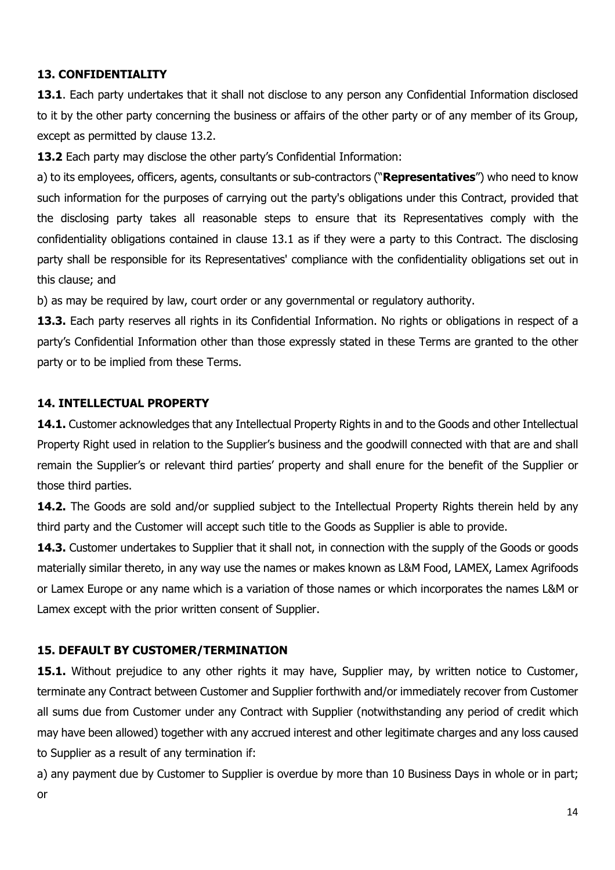# **13. CONFIDENTIALITY**

**13.1**. Each party undertakes that it shall not disclose to any person any Confidential Information disclosed to it by the other party concerning the business or affairs of the other party or of any member of its Group, except as permitted by clause 13.2.

**13.2** Each party may disclose the other party's Confidential Information:

a) to its employees, officers, agents, consultants or sub-contractors ("**Representatives**") who need to know such information for the purposes of carrying out the party's obligations under this Contract, provided that the disclosing party takes all reasonable steps to ensure that its Representatives comply with the confidentiality obligations contained in clause 13.1 as if they were a party to this Contract. The disclosing party shall be responsible for its Representatives' compliance with the confidentiality obligations set out in this clause; and

b) as may be required by law, court order or any governmental or regulatory authority.

**13.3.** Each party reserves all rights in its Confidential Information. No rights or obligations in respect of a party's Confidential Information other than those expressly stated in these Terms are granted to the other party or to be implied from these Terms.

# **14. INTELLECTUAL PROPERTY**

**14.1.** Customer acknowledges that any Intellectual Property Rights in and to the Goods and other Intellectual Property Right used in relation to the Supplier's business and the goodwill connected with that are and shall remain the Supplier's or relevant third parties' property and shall enure for the benefit of the Supplier or those third parties.

**14.2.** The Goods are sold and/or supplied subject to the Intellectual Property Rights therein held by any third party and the Customer will accept such title to the Goods as Supplier is able to provide.

**14.3.** Customer undertakes to Supplier that it shall not, in connection with the supply of the Goods or goods materially similar thereto, in any way use the names or makes known as L&M Food, LAMEX, Lamex Agrifoods or Lamex Europe or any name which is a variation of those names or which incorporates the names L&M or Lamex except with the prior written consent of Supplier.

# **15. DEFAULT BY CUSTOMER/TERMINATION**

**15.1.** Without prejudice to any other rights it may have, Supplier may, by written notice to Customer, terminate any Contract between Customer and Supplier forthwith and/or immediately recover from Customer all sums due from Customer under any Contract with Supplier (notwithstanding any period of credit which may have been allowed) together with any accrued interest and other legitimate charges and any loss caused to Supplier as a result of any termination if:

a) any payment due by Customer to Supplier is overdue by more than 10 Business Days in whole or in part; or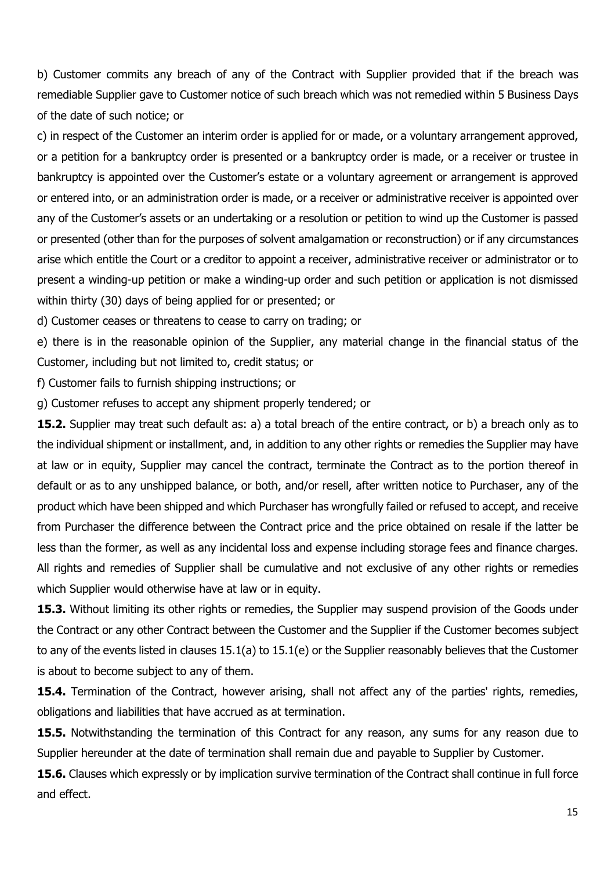b) Customer commits any breach of any of the Contract with Supplier provided that if the breach was remediable Supplier gave to Customer notice of such breach which was not remedied within 5 Business Days of the date of such notice; or

c) in respect of the Customer an interim order is applied for or made, or a voluntary arrangement approved, or a petition for a bankruptcy order is presented or a bankruptcy order is made, or a receiver or trustee in bankruptcy is appointed over the Customer's estate or a voluntary agreement or arrangement is approved or entered into, or an administration order is made, or a receiver or administrative receiver is appointed over any of the Customer's assets or an undertaking or a resolution or petition to wind up the Customer is passed or presented (other than for the purposes of solvent amalgamation or reconstruction) or if any circumstances arise which entitle the Court or a creditor to appoint a receiver, administrative receiver or administrator or to present a winding-up petition or make a winding-up order and such petition or application is not dismissed within thirty (30) days of being applied for or presented; or

d) Customer ceases or threatens to cease to carry on trading; or

e) there is in the reasonable opinion of the Supplier, any material change in the financial status of the Customer, including but not limited to, credit status; or

f) Customer fails to furnish shipping instructions; or

g) Customer refuses to accept any shipment properly tendered; or

**15.2.** Supplier may treat such default as: a) a total breach of the entire contract, or b) a breach only as to the individual shipment or installment, and, in addition to any other rights or remedies the Supplier may have at law or in equity, Supplier may cancel the contract, terminate the Contract as to the portion thereof in default or as to any unshipped balance, or both, and/or resell, after written notice to Purchaser, any of the product which have been shipped and which Purchaser has wrongfully failed or refused to accept, and receive from Purchaser the difference between the Contract price and the price obtained on resale if the latter be less than the former, as well as any incidental loss and expense including storage fees and finance charges. All rights and remedies of Supplier shall be cumulative and not exclusive of any other rights or remedies which Supplier would otherwise have at law or in equity.

**15.3.** Without limiting its other rights or remedies, the Supplier may suspend provision of the Goods under the Contract or any other Contract between the Customer and the Supplier if the Customer becomes subject to any of the events listed in clauses 15.1(a) to 15.1(e) or the Supplier reasonably believes that the Customer is about to become subject to any of them.

**15.4.** Termination of the Contract, however arising, shall not affect any of the parties' rights, remedies, obligations and liabilities that have accrued as at termination.

**15.5.** Notwithstanding the termination of this Contract for any reason, any sums for any reason due to Supplier hereunder at the date of termination shall remain due and payable to Supplier by Customer.

**15.6.** Clauses which expressly or by implication survive termination of the Contract shall continue in full force and effect.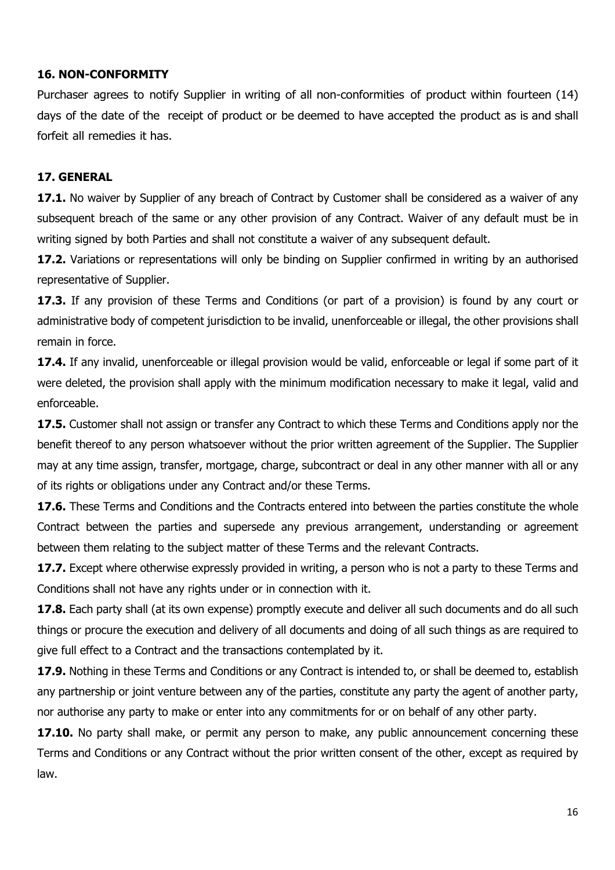# **16. NON-CONFORMITY**

Purchaser agrees to notify Supplier in writing of all non-conformities of product within fourteen (14) days of the date of the receipt of product or be deemed to have accepted the product as is and shall forfeit all remedies it has.

# **17. GENERAL**

**17.1.** No waiver by Supplier of any breach of Contract by Customer shall be considered as a waiver of any subsequent breach of the same or any other provision of any Contract. Waiver of any default must be in writing signed by both Parties and shall not constitute a waiver of any subsequent default.

**17.2.** Variations or representations will only be binding on Supplier confirmed in writing by an authorised representative of Supplier.

**17.3.** If any provision of these Terms and Conditions (or part of a provision) is found by any court or administrative body of competent jurisdiction to be invalid, unenforceable or illegal, the other provisions shall remain in force.

**17.4.** If any invalid, unenforceable or illegal provision would be valid, enforceable or legal if some part of it were deleted, the provision shall apply with the minimum modification necessary to make it legal, valid and enforceable.

**17.5.** Customer shall not assign or transfer any Contract to which these Terms and Conditions apply nor the benefit thereof to any person whatsoever without the prior written agreement of the Supplier. The Supplier may at any time assign, transfer, mortgage, charge, subcontract or deal in any other manner with all or any of its rights or obligations under any Contract and/or these Terms.

**17.6.** These Terms and Conditions and the Contracts entered into between the parties constitute the whole Contract between the parties and supersede any previous arrangement, understanding or agreement between them relating to the subject matter of these Terms and the relevant Contracts.

**17.7.** Except where otherwise expressly provided in writing, a person who is not a party to these Terms and Conditions shall not have any rights under or in connection with it.

**17.8.** Each party shall (at its own expense) promptly execute and deliver all such documents and do all such things or procure the execution and delivery of all documents and doing of all such things as are required to give full effect to a Contract and the transactions contemplated by it.

**17.9.** Nothing in these Terms and Conditions or any Contract is intended to, or shall be deemed to, establish any partnership or joint venture between any of the parties, constitute any party the agent of another party, nor authorise any party to make or enter into any commitments for or on behalf of any other party.

**17.10.** No party shall make, or permit any person to make, any public announcement concerning these Terms and Conditions or any Contract without the prior written consent of the other, except as required by law.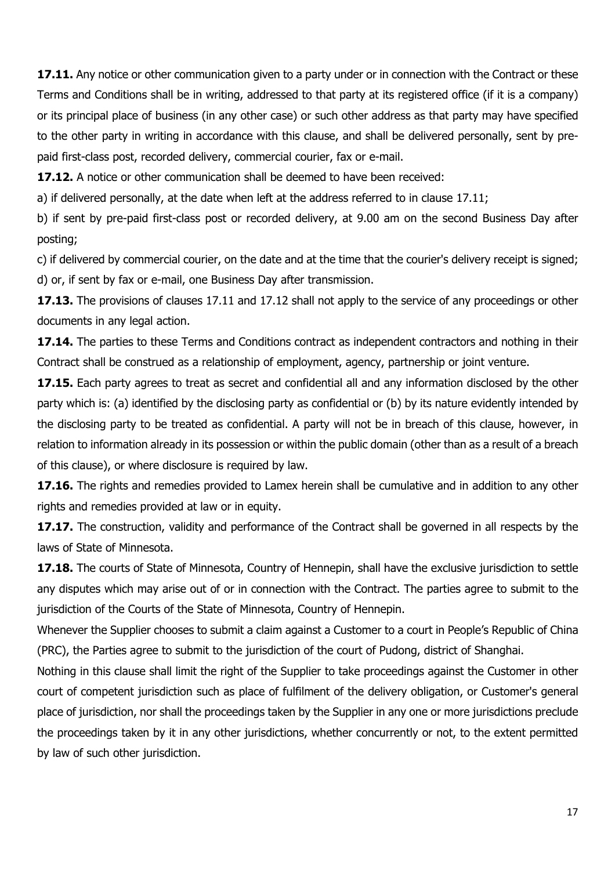**17.11.** Any notice or other communication given to a party under or in connection with the Contract or these Terms and Conditions shall be in writing, addressed to that party at its registered office (if it is a company) or its principal place of business (in any other case) or such other address as that party may have specified to the other party in writing in accordance with this clause, and shall be delivered personally, sent by prepaid first-class post, recorded delivery, commercial courier, fax or e-mail.

**17.12.** A notice or other communication shall be deemed to have been received:

a) if delivered personally, at the date when left at the address referred to in clause 17.11;

b) if sent by pre-paid first-class post or recorded delivery, at 9.00 am on the second Business Day after posting;

c) if delivered by commercial courier, on the date and at the time that the courier's delivery receipt is signed; d) or, if sent by fax or e-mail, one Business Day after transmission.

**17.13.** The provisions of clauses 17.11 and 17.12 shall not apply to the service of any proceedings or other documents in any legal action.

**17.14.** The parties to these Terms and Conditions contract as independent contractors and nothing in their Contract shall be construed as a relationship of employment, agency, partnership or joint venture.

**17.15.** Each party agrees to treat as secret and confidential all and any information disclosed by the other party which is: (a) identified by the disclosing party as confidential or (b) by its nature evidently intended by the disclosing party to be treated as confidential. A party will not be in breach of this clause, however, in relation to information already in its possession or within the public domain (other than as a result of a breach of this clause), or where disclosure is required by law.

**17.16.** The rights and remedies provided to Lamex herein shall be cumulative and in addition to any other rights and remedies provided at law or in equity.

**17.17.** The construction, validity and performance of the Contract shall be governed in all respects by the laws of State of Minnesota.

**17.18.** The courts of State of Minnesota, Country of Hennepin, shall have the exclusive jurisdiction to settle any disputes which may arise out of or in connection with the Contract. The parties agree to submit to the jurisdiction of the Courts of the State of Minnesota, Country of Hennepin.

Whenever the Supplier chooses to submit a claim against a Customer to a court in People's Republic of China (PRC), the Parties agree to submit to the jurisdiction of the court of Pudong, district of Shanghai.

Nothing in this clause shall limit the right of the Supplier to take proceedings against the Customer in other court of competent jurisdiction such as place of fulfilment of the delivery obligation, or Customer's general place of jurisdiction, nor shall the proceedings taken by the Supplier in any one or more jurisdictions preclude the proceedings taken by it in any other jurisdictions, whether concurrently or not, to the extent permitted by law of such other jurisdiction.